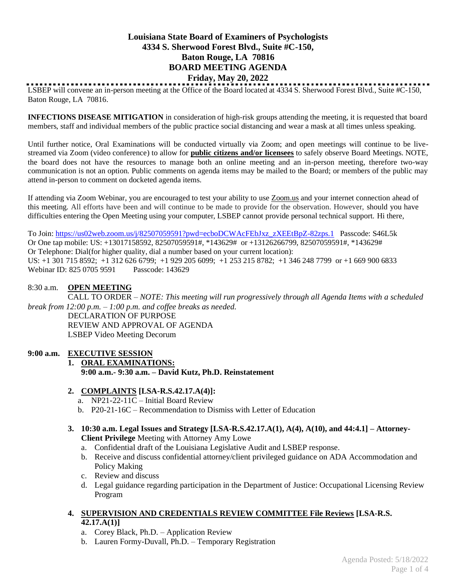# **Louisiana State Board of Examiners of Psychologists 4334 S. Sherwood Forest Blvd., Suite #C-150, Baton Rouge, LA 70816 BOARD MEETING AGENDA Friday, May 20, 2022**

LSBEP will convene an in-person meeting at the Office of the Board located at 4334 S. Sherwood Forest Blvd., Suite #C-150, Baton Rouge, LA 70816.

**INFECTIONS DISEASE MITIGATION** in consideration of high-risk groups attending the meeting, it is requested that board members, staff and individual members of the public practice social distancing and wear a mask at all times unless speaking.

Until further notice, Oral Examinations will be conducted virtually via Zoom; and open meetings will continue to be livestreamed via Zoom (video conference) to allow for **public citizens and/or licensees** to safely observe Board Meetings. NOTE, the board does not have the resources to manage both an online meeting and an in-person meeting, therefore two-way communication is not an option. Public comments on agenda items may be mailed to the Board; or members of the public may attend in-person to comment on docketed agenda items.

If attending via Zoom Webinar, you are encouraged to test your ability to use Zoom.us and your internet connection ahead of this meeting. All efforts have been and will continue to be made to provide for the observation. However, should you have difficulties entering the Open Meeting using your computer, LSBEP cannot provide personal technical support. Hi there,

To Join: [https://us02web.zoom.us/j/82507059591?pwd=ecboDCWAcFEbJxz\\_zXEEtBpZ-82zps.1](https://us02web.zoom.us/j/82507059591?pwd=ecboDCWAcFEbJxz_zXEEtBpZ-82zps.1) Passcode: S46L5k Or One tap mobile: US: +13017158592, 82507059591#, \*143629# or +13126266799, 82507059591#, \*143629# Or Telephone: Dial(for higher quality, dial a number based on your current location): US: +1 301 715 8592; +1 312 626 6799; +1 929 205 6099; +1 253 215 8782; +1 346 248 7799 or +1 669 900 6833 Webinar ID: 825 0705 9591 Passcode: 143629

### 8:30 a.m. **OPEN MEETING**

CALL TO ORDER – *NOTE: This meeting will run progressively through all Agenda Items with a scheduled break from 12:00 p.m. – 1:00 p.m. and coffee breaks as needed.*

DECLARATION OF PURPOSE REVIEW AND APPROVAL OF AGENDA LSBEP Video Meeting Decorum

## **9:00 a.m. EXECUTIVE SESSION**

### **1. ORAL EXAMINATIONS: 9:00 a.m.- 9:30 a.m. – David Kutz, Ph.D. Reinstatement**

### **2. COMPLAINTS [LSA-R.S.42.17.A(4)]:**

- a. NP21-22-11C Initial Board Review
- b. P20-21-16C Recommendation to Dismiss with Letter of Education
- **3. 10:30 a.m. Legal Issues and Strategy [LSA-R.S.42.17.A(1), A(4), A(10), and 44:4.1] – Attorney-Client Privilege** Meeting with Attorney Amy Lowe
	- a. Confidential draft of the Louisiana Legislative Audit and LSBEP response.
	- b. Receive and discuss confidential attorney/client privileged guidance on ADA Accommodation and Policy Making
	- c. Review and discuss
	- d. Legal guidance regarding participation in the Department of Justice: Occupational Licensing Review Program

#### **4. SUPERVISION AND CREDENTIALS REVIEW COMMITTEE File Reviews [LSA-R.S. 42.17.A(1)]**

- a. Corey Black, Ph.D. Application Review
- b. Lauren Formy-Duvall, Ph.D. Temporary Registration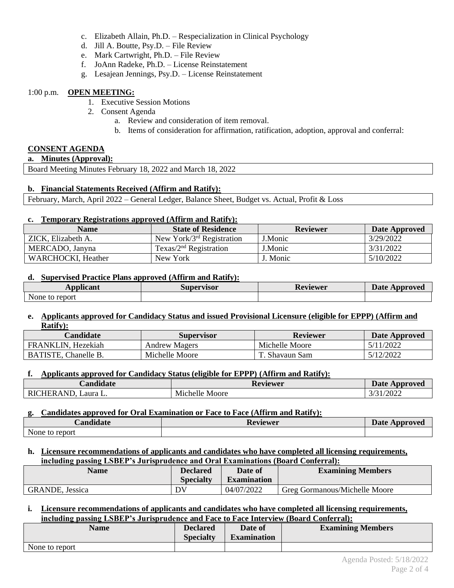- c. Elizabeth Allain, Ph.D. Respecialization in Clinical Psychology
- d. Jill A. Boutte, Psy.D. File Review
- e. Mark Cartwright, Ph.D. File Review
- f. JoAnn Radeke, Ph.D. License Reinstatement
- g. Lesajean Jennings, Psy.D. License Reinstatement

### 1:00 p.m. **OPEN MEETING:**

- 1. Executive Session Motions
- 2. Consent Agenda
	- a. Review and consideration of item removal.
	- b. Items of consideration for affirmation, ratification, adoption, approval and conferral:

## **CONSENT AGENDA**

**a. Minutes (Approval):**

Board Meeting Minutes February 18, 2022 and March 18, 2022

### **b. Financial Statements Received (Affirm and Ratify):**

February, March, April 2022 – General Ledger, Balance Sheet, Budget vs. Actual, Profit & Loss

### **c. Temporary Registrations approved (Affirm and Ratify):**

| <b>Name</b>        | <b>State of Residence</b>    | <b>Reviewer</b> | Date Approved |
|--------------------|------------------------------|-----------------|---------------|
| ZICK, Elizabeth A. | New York/ $3rd$ Registration | J.Monic         | 3/29/2022     |
| MERCADO, Janyna    | Texas/ $2nd$ Registration    | J.Monic         | 3/31/2022     |
| WARCHOCKI, Heather | New York                     | J. Monic        | 5/10/2022     |

### **d. Supervised Practice Plans approved (Affirm and Ratify):**

| <b>Applicant</b> | Supervisor | Reviewer | <b>Date Approved</b> |
|------------------|------------|----------|----------------------|
| None to report   |            |          |                      |

### **e. Applicants approved for Candidacy Status and issued Provisional Licensure (eligible for EPPP) (Affirm and Ratify):**

| <b>Candidate</b>            | <b>Supervisor</b>    | <b>Reviewer</b> | Date Approved |
|-----------------------------|----------------------|-----------------|---------------|
| FRANKLIN, Hezekiah          | <b>Andrew Magers</b> | Michelle Moore  | 5/11/2022     |
| <b>BATISTE, Chanelle B.</b> | Michelle Moore       | T. Shavaun Sam  | 5/12/2022     |

### **f. Applicants approved for Candidacy Status (eligible for EPPP) (Affirm and Ratify):**

| $\blacksquare$                                              | n.                | <b>Date</b> |
|-------------------------------------------------------------|-------------------|-------------|
| <b>Candidate</b>                                            | Reviewer          | Approved    |
| AND<br>RI(<br>HER A<br>$\blacksquare$ aura $\blacksquare$ . | Michelle<br>Moore | /2022<br>11 |

### **g. Candidates approved for Oral Examination or Face to Face (Affirm and Ratify):**

| <b>Candidate</b> | Reviewer | <b>Date Approved</b> |
|------------------|----------|----------------------|
| None to report   |          |                      |

### **h. Licensure recommendations of applicants and candidates who have completed all licensing requirements, including passing LSBEP's Jurisprudence and Oral Examinations (Board Conferral):**

| Name                    | Declared<br><b>Specialty</b> | Date of<br><b>Examination</b> | <b>Examining Members</b>      |
|-------------------------|------------------------------|-------------------------------|-------------------------------|
| <b>GRANDE</b> , Jessica | DV                           | 04/07/2022                    | Greg Gormanous/Michelle Moore |

### **i. Licensure recommendations of applicants and candidates who have completed all licensing requirements, including passing LSBEP's Jurisprudence and Face to Face Interview (Board Conferral):**

| <b>Name</b>    | <b>Declared</b><br><b>Specialty</b> | Date of<br><b>Examination</b> | <b>Examining Members</b> |
|----------------|-------------------------------------|-------------------------------|--------------------------|
| None to report |                                     |                               |                          |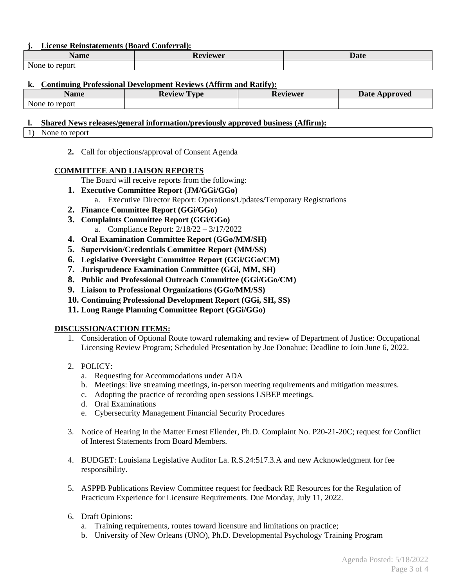### **j. License Reinstatements (Board Conferral):**

| $\blacksquare$<br>Name                 | teviewer<br>17 C | Date |
|----------------------------------------|------------------|------|
| $\sim$ $\sim$<br>None<br>report<br>LC. |                  |      |

### **k. Continuing Professional Development Reviews (Affirm and Ratify):**

| Name              | $\sim$<br><b>Review</b><br><b>vpe</b> | Reviewer | <b>Date</b><br>Approved |
|-------------------|---------------------------------------|----------|-------------------------|
| to report<br>None |                                       |          |                         |

### **l. Shared News releases/general information/previously approved business (Affirm):**

- 1) None to report
	- **2.** Call for objections/approval of Consent Agenda

### **COMMITTEE AND LIAISON REPORTS**

The Board will receive reports from the following:

- **1. Executive Committee Report (JM/GGi/GGo)**
	- a. Executive Director Report: Operations/Updates/Temporary Registrations
- **2. Finance Committee Report (GGi/GGo)**
- **3. Complaints Committee Report (GGi/GGo)**
	- a. Compliance Report: 2/18/22 3/17/2022
- **4. Oral Examination Committee Report (GGo/MM/SH)**
- **5. Supervision/Credentials Committee Report (MM/SS)**
- **6. Legislative Oversight Committee Report (GGi/GGo/CM)**
- **7. Jurisprudence Examination Committee (GGi, MM, SH)**
- **8. Public and Professional Outreach Committee (GGi/GGo/CM)**
- **9. Liaison to Professional Organizations (GGo/MM/SS)**
- **10. Continuing Professional Development Report (GGi, SH, SS)**
- **11. Long Range Planning Committee Report (GGi/GGo)**

### **DISCUSSION/ACTION ITEMS:**

- 1. Consideration of Optional Route toward rulemaking and review of Department of Justice: Occupational Licensing Review Program; Scheduled Presentation by Joe Donahue; Deadline to Join June 6, 2022.
- 2. POLICY:
	- a. Requesting for Accommodations under ADA
	- b. Meetings: live streaming meetings, in-person meeting requirements and mitigation measures.
	- c. Adopting the practice of recording open sessions LSBEP meetings.
	- d. Oral Examinations
	- e. Cybersecurity Management Financial Security Procedures
- 3. Notice of Hearing In the Matter Ernest Ellender, Ph.D. Complaint No. P20-21-20C; request for Conflict of Interest Statements from Board Members.
- 4. BUDGET: Louisiana Legislative Auditor La. R.S.24:517.3.A and new Acknowledgment for fee responsibility.
- 5. ASPPB Publications Review Committee request for feedback RE Resources for the Regulation of Practicum Experience for Licensure Requirements. Due Monday, July 11, 2022.
- 6. Draft Opinions:
	- a. Training requirements, routes toward licensure and limitations on practice;
	- b. University of New Orleans (UNO), Ph.D. Developmental Psychology Training Program